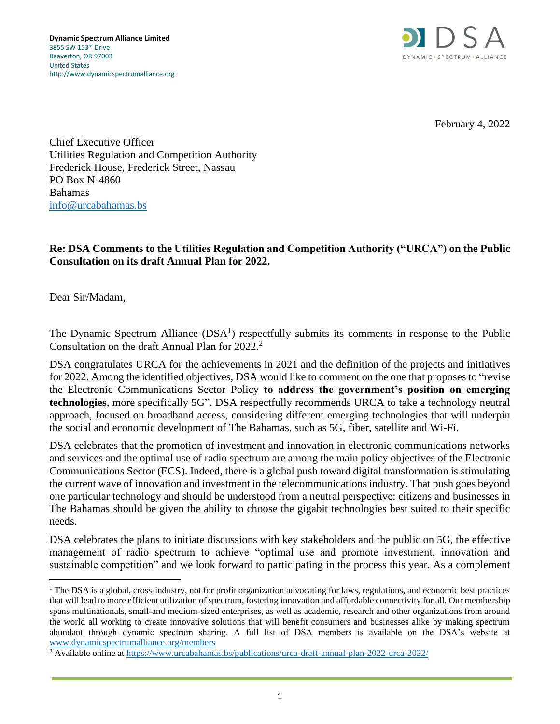

February 4, 2022

Chief Executive Officer Utilities Regulation and Competition Authority Frederick House, Frederick Street, Nassau PO Box N-4860 Bahamas [info@urcabahamas.bs](mailto:info@urcabahamas.bs)

## **Re: DSA Comments to the Utilities Regulation and Competition Authority ("URCA") on the Public Consultation on its draft Annual Plan for 2022.**

Dear Sir/Madam,

The Dynamic Spectrum Alliance  $(DSA<sup>1</sup>)$  respectfully submits its comments in response to the Public Consultation on the draft Annual Plan for 2022. 2

DSA congratulates URCA for the achievements in 2021 and the definition of the projects and initiatives for 2022. Among the identified objectives, DSA would like to comment on the one that proposes to "revise the Electronic Communications Sector Policy **to address the government's position on emerging technologies**, more specifically 5G". DSA respectfully recommends URCA to take a technology neutral approach, focused on broadband access, considering different emerging technologies that will underpin the social and economic development of The Bahamas, such as 5G, fiber, satellite and Wi-Fi.

DSA celebrates that the promotion of investment and innovation in electronic communications networks and services and the optimal use of radio spectrum are among the main policy objectives of the Electronic Communications Sector (ECS). Indeed, there is a global push toward digital transformation is stimulating the current wave of innovation and investment in the telecommunications industry. That push goes beyond one particular technology and should be understood from a neutral perspective: citizens and businesses in The Bahamas should be given the ability to choose the gigabit technologies best suited to their specific needs.

DSA celebrates the plans to initiate discussions with key stakeholders and the public on 5G, the effective management of radio spectrum to achieve "optimal use and promote investment, innovation and sustainable competition" and we look forward to participating in the process this year. As a complement

<sup>&</sup>lt;sup>1</sup> The DSA is a global, cross-industry, not for profit organization advocating for laws, regulations, and economic best practices that will lead to more efficient utilization of spectrum, fostering innovation and affordable connectivity for all. Our membership spans multinationals, small-and medium-sized enterprises, as well as academic, research and other organizations from around the world all working to create innovative solutions that will benefit consumers and businesses alike by making spectrum abundant through dynamic spectrum sharing. A full list of DSA members is available on the DSA's website at [www.dynamicspectrumalliance.org/members](http://www.dynamicspectrumalliance.org/members)

<sup>2</sup> Available online at <https://www.urcabahamas.bs/publications/urca-draft-annual-plan-2022-urca-2022/>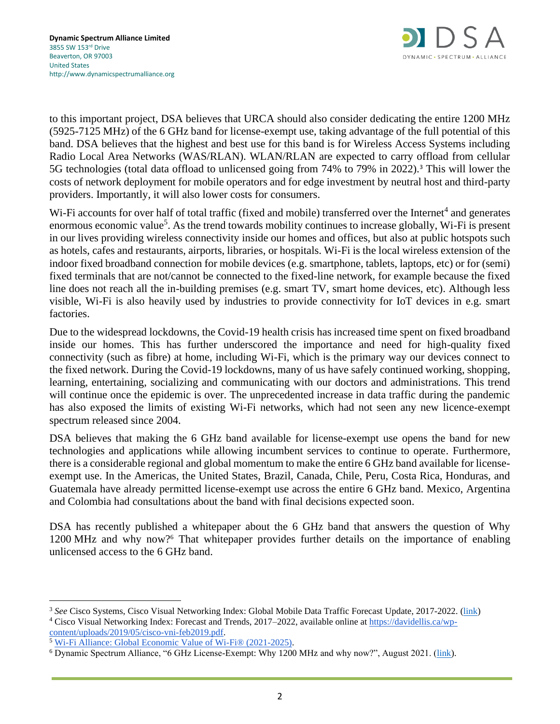

to this important project, DSA believes that URCA should also consider dedicating the entire 1200 MHz (5925-7125 MHz) of the 6 GHz band for license-exempt use, taking advantage of the full potential of this band. DSA believes that the highest and best use for this band is for Wireless Access Systems including Radio Local Area Networks (WAS/RLAN). WLAN/RLAN are expected to carry offload from cellular 5G technologies (total data offload to unlicensed going from 74% to 79% in 2022).<sup>3</sup> This will lower the costs of network deployment for mobile operators and for edge investment by neutral host and third-party providers. Importantly, it will also lower costs for consumers.

Wi-Fi accounts for over half of total traffic (fixed and mobile) transferred over the Internet<sup>4</sup> and generates enormous economic value<sup>5</sup>. As the trend towards mobility continues to increase globally, Wi-Fi is present in our lives providing wireless connectivity inside our homes and offices, but also at public hotspots such as hotels, cafes and restaurants, airports, libraries, or hospitals. Wi-Fi is the local wireless extension of the indoor fixed broadband connection for mobile devices (e.g. smartphone, tablets, laptops, etc) or for (semi) fixed terminals that are not/cannot be connected to the fixed-line network, for example because the fixed line does not reach all the in-building premises (e.g. smart TV, smart home devices, etc). Although less visible, Wi-Fi is also heavily used by industries to provide connectivity for IoT devices in e.g. smart factories.

Due to the widespread lockdowns, the Covid-19 health crisis has increased time spent on fixed broadband inside our homes. This has further underscored the importance and need for high-quality fixed connectivity (such as fibre) at home, including Wi-Fi, which is the primary way our devices connect to the fixed network. During the Covid-19 lockdowns, many of us have safely continued working, shopping, learning, entertaining, socializing and communicating with our doctors and administrations. This trend will continue once the epidemic is over. The unprecedented increase in data traffic during the pandemic has also exposed the limits of existing Wi-Fi networks, which had not seen any new licence-exempt spectrum released since 2004.

DSA believes that making the 6 GHz band available for license-exempt use opens the band for new technologies and applications while allowing incumbent services to continue to operate. Furthermore, there is a considerable regional and global momentum to make the entire 6 GHz band available for licenseexempt use. In the Americas, the United States, Brazil, Canada, Chile, Peru, Costa Rica, Honduras, and Guatemala have already permitted license-exempt use across the entire 6 GHz band. Mexico, Argentina and Colombia had consultations about the band with final decisions expected soon.

DSA has recently published a whitepaper about the 6 GHz band that answers the question of Why 1200 MHz and why now?<sup>6</sup> That whitepaper provides further details on the importance of enabling unlicensed access to the 6 GHz band.

<sup>&</sup>lt;sup>3</sup> See Cisco Systems, Cisco Visual Networking Index: Global Mobile Data Traffic Forecast Update, 2017-2022. [\(link\)](https://s3.amazonaws.com/media.mediapost.com/uploads/CiscoForecast.pdf)

<sup>4</sup> Cisco Visual Networking Index: Forecast and Trends, 2017–2022, available online at [https://davidellis.ca/wp](https://davidellis.ca/wp-content/uploads/2019/05/cisco-vni-feb2019.pdf)[content/uploads/2019/05/cisco-vni-feb2019.pdf.](https://davidellis.ca/wp-content/uploads/2019/05/cisco-vni-feb2019.pdf)

<sup>&</sup>lt;sup>5</sup> [Wi-Fi Alliance: Global Economic Value of Wi-Fi® \(2021-2025\).](https://www.wi-fi.org/download.php?file=/sites/default/files/private/Global_Economic_Value_of_Wi-Fi_2021-2025.pdf)

<sup>6</sup> Dynamic Spectrum Alliance, "6 GHz License-Exempt: Why 1200 MHz and why now?", August 2021. [\(link\)](http://dynamicspectrumalliance.org/wp-content/uploads/2021/08/6GHz-License-Exempt-Band-Why-1200-MHz-and-Why-Now.pdf).